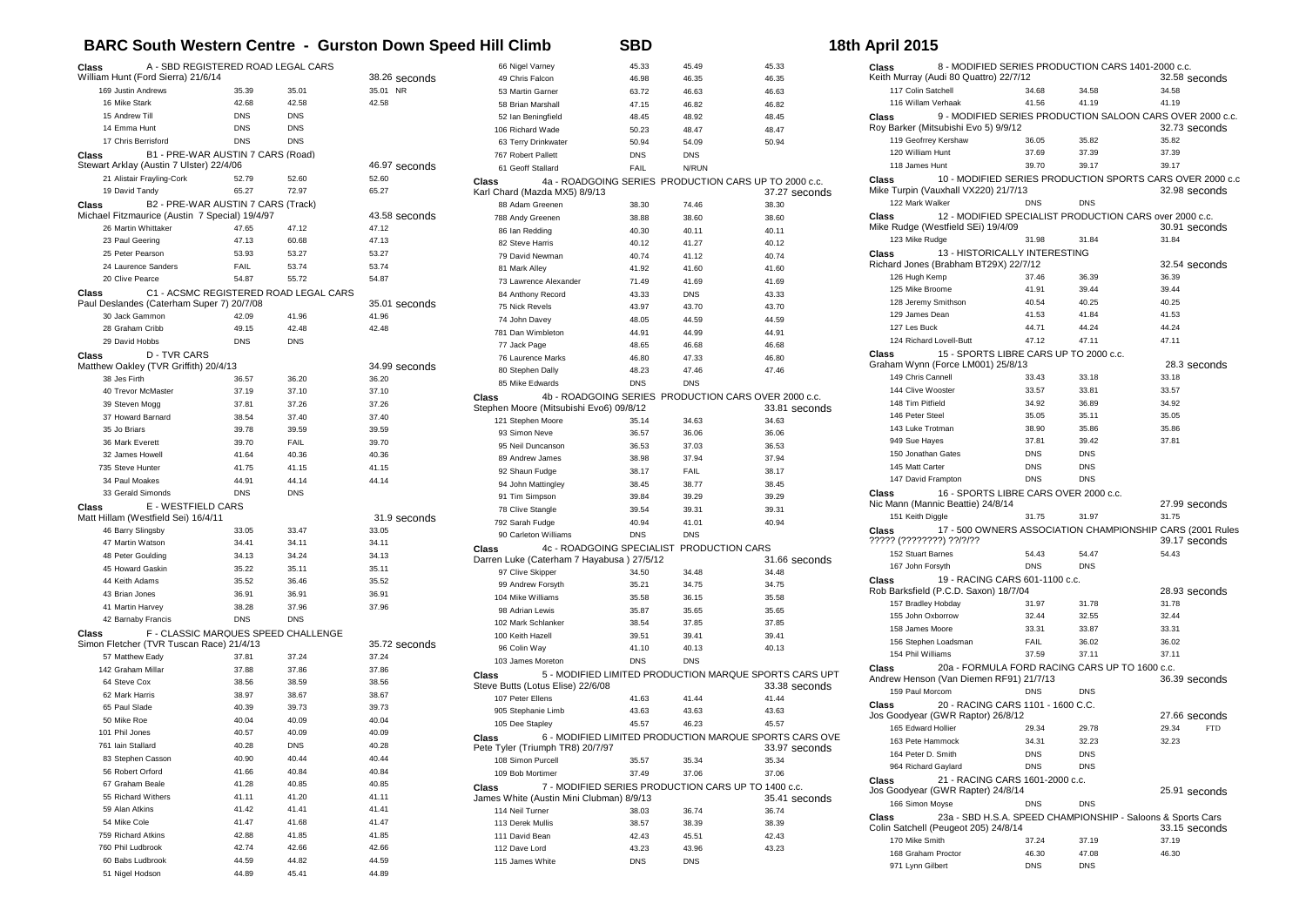## **BARC South Western Centre - Gurston Down Speed Hill Climb SBD 18th April 2015**

| A - SBD REGISTERED ROAD LEGAL CARS<br>Class                                                   |                |                                       |                       | 66 Nigel Varney                            | 45.33               | 45.49               | 45.33                                                  |
|-----------------------------------------------------------------------------------------------|----------------|---------------------------------------|-----------------------|--------------------------------------------|---------------------|---------------------|--------------------------------------------------------|
| William Hunt (Ford Sierra) 21/6/14                                                            |                |                                       | 38.26 seconds         | 49 Chris Falcon                            | 46.98               | 46.35               | 46.35                                                  |
| 169 Justin Andrews                                                                            | 35.39          | 35.01                                 | 35.01 NR              | 53 Martin Garner                           | 63.72               | 46.63               | 46.63                                                  |
| 16 Mike Stark                                                                                 | 42.68          | 42.58                                 | 42.58                 | 58 Brian Marshall                          | 47.15               | 46.82               | 46.82                                                  |
| 15 Andrew Till                                                                                | <b>DNS</b>     | <b>DNS</b>                            |                       | 52 Ian Beningfield                         | 48.45               | 48.92               | 48.45                                                  |
| 14 Emma Hunt                                                                                  | <b>DNS</b>     | <b>DNS</b>                            |                       | 106 Richard Wade                           | 50.23               | 48.47               | 48.47                                                  |
| 17 Chris Berrisford                                                                           | <b>DNS</b>     | <b>DNS</b>                            |                       | 63 Terry Drinkwater                        | 50.94               | 54.09               | 50.94                                                  |
| B1 - PRE-WAR AUSTIN 7 CARS (Road)<br>Class                                                    |                |                                       |                       | 767 Robert Pallett                         | <b>DNS</b>          | <b>DNS</b>          |                                                        |
| Stewart Arklay (Austin 7 Ulster) 22/4/06                                                      |                |                                       | 46.97 seconds         | 61 Geoff Stallard                          | FAIL                | N/RUN               |                                                        |
| 21 Alistair Frayling-Cork<br>19 David Tandy                                                   | 52.79<br>65.27 | 52.60<br>72.97                        | 52.60<br>65.27        | Class                                      |                     |                     | 4a - ROADGOING SERIES PRODUCTION CARS UP TO 2000 c.c.  |
|                                                                                               |                |                                       |                       | Karl Chard (Mazda MX5) 8/9/13              |                     |                     | 37.27 seconds                                          |
| Class<br>B2 - PRE-WAR AUSTIN 7 CARS (Track)<br>Michael Fitzmaurice (Austin 7 Special) 19/4/97 |                |                                       | 43.58 seconds         | 88 Adam Greenen                            | 38.30               | 74.46               | 38.30                                                  |
| 26 Martin Whittaker                                                                           | 47.65          | 47.12                                 | 47.12                 | 788 Andy Greenen<br>86 Ian Redding         | 38.88<br>40.30      | 38.60               | 38.60                                                  |
| 23 Paul Geering                                                                               | 47.13          | 60.68                                 | 47.13                 | 82 Steve Harris                            | 40.12               | 40.11<br>41.27      | 40.11<br>40.12                                         |
| 25 Peter Pearson                                                                              | 53.93          | 53.27                                 | 53.27                 | 79 David Newman                            | 40.74               | 41.12               | 40.74                                                  |
| 24 Laurence Sanders                                                                           | FAIL           | 53.74                                 | 53.74                 | 81 Mark Alley                              | 41.92               | 41.60               | 41.60                                                  |
| 20 Clive Pearce                                                                               | 54.87          | 55.72                                 | 54.87                 | 73 Lawrence Alexander                      | 71.49               | 41.69               | 41.69                                                  |
| Class                                                                                         |                | C1 - ACSMC REGISTERED ROAD LEGAL CARS |                       | 84 Anthony Record                          | 43.33               | <b>DNS</b>          | 43.33                                                  |
| Paul Deslandes (Caterham Super 7) 20/7/08                                                     |                |                                       | 35.01 seconds         | 75 Nick Revels                             | 43.97               | 43.70               | 43.70                                                  |
| 30 Jack Gammon                                                                                | 42.09          | 41.96                                 | 41.96                 | 74 John Davey                              | 48.05               | 44.59               | 44.59                                                  |
| 28 Graham Cribb                                                                               | 49.15          | 42.48                                 | 42.48                 | 781 Dan Wimbleton                          | 44.91               | 44.99               | 44.91                                                  |
| 29 David Hobbs                                                                                | <b>DNS</b>     | <b>DNS</b>                            |                       | 77 Jack Page                               | 48.65               | 46.68               | 46.68                                                  |
| <b>D-TVR CARS</b><br>Class                                                                    |                |                                       |                       | 76 Laurence Marks                          | 46.80               | 47.33               | 46.80                                                  |
| Matthew Oakley (TVR Griffith) 20/4/13                                                         |                |                                       | 34.99 seconds         | 80 Stephen Dally                           | 48.23               | 47.46               | 47.46                                                  |
| 38 Jes Firth                                                                                  | 36.57          | 36.20                                 | 36.20                 | 85 Mike Edwards                            | <b>DNS</b>          | <b>DNS</b>          |                                                        |
| 40 Trevor McMaster                                                                            | 37.19          | 37.10                                 | 37.10                 | <b>Class</b>                               |                     |                     | 4b - ROADGOING SERIES PRODUCTION CARS OVER 2000 c.c.   |
| 39 Steven Mogg                                                                                | 37.81          | 37.26                                 | 37.26                 | Stephen Moore (Mitsubishi Evo6) 09/8/12    |                     |                     | 33.81 seconds                                          |
| 37 Howard Barnard                                                                             | 38.54          | 37.40                                 | 37.40                 | 121 Stephen Moore                          | 35.14               | 34.63               | 34.63                                                  |
| 35 Jo Briars                                                                                  | 39.78          | 39.59                                 | 39.59                 | 93 Simon Neve                              | 36.57               | 36.06               | 36.06                                                  |
| 36 Mark Everett                                                                               | 39.70          | FAIL                                  | 39.70                 | 95 Neil Duncanson                          | 36.53               | 37.03               | 36.53                                                  |
| 32 James Howell                                                                               | 41.64          | 40.36                                 | 40.36                 | 89 Andrew James                            | 38.98               | 37.94               | 37.94                                                  |
| 735 Steve Hunter                                                                              | 41.75          | 41.15                                 | 41.15                 | 92 Shaun Fudge                             | 38.17               | <b>FAIL</b>         | 38.17                                                  |
| 34 Paul Moakes                                                                                | 44.91          | 44.14                                 | 44.14                 | 94 John Mattingley                         | 38.45               | 38.77               | 38.45                                                  |
| 33 Gerald Simonds                                                                             | <b>DNS</b>     | <b>DNS</b>                            |                       | 91 Tim Simpson                             | 39.84               | 39.29               | 39.29                                                  |
| E - WESTFIELD CARS<br>Class                                                                   |                |                                       |                       | 78 Clive Stangle                           | 39.54               | 39.31               | 39.31                                                  |
| Matt Hillam (Westfield Sei) 16/4/11                                                           |                |                                       | 31.9 seconds<br>33.05 | 792 Sarah Fudge                            | 40.94               | 41.01               | 40.94                                                  |
| 46 Barry Slingsby<br>47 Martin Watson                                                         | 33.05<br>34.41 | 33.47<br>34.11                        | 34.11                 | 90 Carleton Williams                       | <b>DNS</b>          | <b>DNS</b>          |                                                        |
|                                                                                               | 34.13          | 34.24                                 | 34.13                 | 4c - ROADGOING SPECIALIST<br><b>Class</b>  |                     | PRODUCTION CARS     |                                                        |
| 48 Peter Goulding<br>45 Howard Gaskin                                                         | 35.22          | 35.11                                 | 35.11                 | Darren Luke (Caterham 7 Hayabusa) 27/5/12  |                     |                     | 31.66 seconds                                          |
| 44 Keith Adams                                                                                | 35.52          | 36.46                                 | 35.52                 | 97 Clive Skipper                           | 34.50               | 34.48               | 34.48                                                  |
| 43 Brian Jones                                                                                | 36.91          | 36.91                                 | 36.91                 | 99 Andrew Forsyth                          | 35.21               | 34.75               | 34.75                                                  |
| 41 Martin Harvey                                                                              | 38.28          | 37.96                                 | 37.96                 | 104 Mike Williams                          | 35.58               | 36.15               | 35.58                                                  |
| 42 Barnaby Francis                                                                            | <b>DNS</b>     | <b>DNS</b>                            |                       | 98 Adrian Lewis                            | 35.87               | 35.65               | 35.65                                                  |
| Class                                                                                         |                | F - CLASSIC MARQUES SPEED CHALLENGE   |                       | 102 Mark Schlanker                         | 38.54               | 37.85               | 37.85                                                  |
| Simon Fletcher (TVR Tuscan Race) 21/4/13                                                      |                |                                       | 35.72 seconds         | 100 Keith Hazell                           | 39.51               | 39.41               | 39.41                                                  |
| 57 Matthew Eady                                                                               | 37.81          | 37.24                                 | 37.24                 | 96 Colin Way<br>103 James Moreton          | 41.10<br><b>DNS</b> | 40.13<br><b>DNS</b> | 40.13                                                  |
| 142 Graham Millar                                                                             | 37.88          | 37.86                                 | 37.86                 |                                            |                     |                     | 5 - MODIFIED LIMITED PRODUCTION MARQUE SPORTS CARS UPT |
| 64 Steve Cox                                                                                  | 38.56          | 38.59                                 | 38.56                 | Class<br>Steve Butts (Lotus Elise) 22/6/08 |                     |                     | 33.38 seconds                                          |
| 62 Mark Harris                                                                                | 38.97          | 38.67                                 | 38.67                 | 107 Peter Ellens                           | 41.63               | 41.44               | 41.44                                                  |
| 65 Paul Slade                                                                                 | 40.39          | 39.73                                 | 39.73                 | 905 Stephanie Limb                         | 43.63               | 43.63               | 43.63                                                  |
| 50 Mike Roe                                                                                   | 40.04          | 40.09                                 | 40.04                 | 105 Dee Stapley                            | 45.57               | 46.23               | 45.57                                                  |
| 101 Phil Jones                                                                                | 40.57          | 40.09                                 | 40.09                 | Class                                      |                     |                     | 6 - MODIFIED LIMITED PRODUCTION MARQUE SPORTS CARS OVE |
| 761 Iain Stallard                                                                             | 40.28          | <b>DNS</b>                            | 40.28                 | Pete Tyler (Triumph TR8) 20/7/97           |                     |                     | 33.97 seconds                                          |
| 83 Stephen Casson                                                                             | 40.90          | 40.44                                 | 40.44                 | 108 Simon Purcell                          | 35.57               | 35.34               | 35.34                                                  |
| 56 Robert Orford                                                                              | 41.66          | 40.84                                 | 40.84                 | 109 Bob Mortimer                           | 37.49               | 37.06               | 37.06                                                  |
| 67 Graham Beale                                                                               | 41.28          | 40.85                                 | 40.85                 | <b>Class</b>                               |                     |                     | 7 - MODIFIED SERIES PRODUCTION CARS UP TO 1400 c.c.    |
| 55 Richard Withers                                                                            | 41.11          | 41.20                                 | 41.11                 | James White (Austin Mini Clubman) 8/9/13   |                     |                     | 35.41 seconds                                          |
| 59 Alan Atkins                                                                                | 41.42          | 41.41                                 | 41.41                 | 114 Neil Turner                            | 38.03               | 36.74               | 36.74                                                  |
| 54 Mike Cole                                                                                  | 41.47          | 41.68                                 | 41.47                 | 113 Derek Mullis                           | 38.57               | 38.39               | 38.39                                                  |
| 759 Richard Atkins                                                                            | 42.88          | 41.85                                 | 41.85                 | 111 David Bean                             | 42.43               | 45.51               | 42.43                                                  |
| 760 Phil Ludbrook                                                                             | 42.74          | 42.66                                 | 42.66                 | 112 Dave Lord                              | 43.23               | 43.96               | 43.23                                                  |
| 60 Babs Ludbrook                                                                              | 44.59          | 44.82                                 | 44.59                 | 115 James White                            | <b>DNS</b>          | <b>DNS</b>          |                                                        |
| 51 Nigel Hodson                                                                               | 44.89          | 45.41                                 | 44.89                 |                                            |                     |                     |                                                        |

| Class              | Keith Murray (Audi 80 Quattro) 22/7/12  |                                                |            | 8 - MODIFIED SERIES PRODUCTION CARS 1401-2000 c.c.                           |
|--------------------|-----------------------------------------|------------------------------------------------|------------|------------------------------------------------------------------------------|
|                    | 117 Colin Satchell                      | 34.68                                          | 34.58      | 32.58 seconds<br>34.58                                                       |
|                    | 116 Willam Verhaak                      | 41.56                                          | 41.19      | 41.19                                                                        |
| Class              |                                         |                                                |            | 9 - MODIFIED SERIES PRODUCTION SALOON CARS OVER 2000 c.c.                    |
|                    | Roy Barker (Mitsubishi Evo 5) 9/9/12    |                                                |            | 32.73 seconds                                                                |
|                    | 119 Geofrrey Kershaw                    | 36.05                                          | 35.82      | 35.82                                                                        |
|                    | 120 William Hunt                        | 37.69                                          | 37.39      | 37.39                                                                        |
|                    | 118 James Hunt                          | 39.70                                          | 39.17      | 39.17                                                                        |
| Class              | Mike Turpin (Vauxhall VX220) 21/7/13    |                                                |            | 10 - MODIFIED SERIES PRODUCTION SPORTS CARS OVER 2000 c.c<br>32.98 seconds   |
|                    | 122 Mark Walker                         | <b>DNS</b>                                     | <b>DNS</b> |                                                                              |
| Class              | Mike Rudge (Westfield SEi) 19/4/09      |                                                |            | 12 - MODIFIED SPECIALIST PRODUCTION CARS over 2000 c.c.<br>30.91 seconds     |
|                    | 123 Mike Rudge                          | 31.98                                          | 31.84      | 31.84                                                                        |
| Class              | Richard Jones (Brabham BT29X) 22/7/12   | 13 - HISTORICALLY INTERESTING                  |            | 32.54 seconds                                                                |
|                    | 126 Hugh Kemp                           | 37.46                                          | 36.39      | 36.39                                                                        |
|                    | 125 Mike Broome                         | 41.91                                          | 39.44      | 39.44                                                                        |
|                    | 128 Jeremy Smithson                     | 40.54                                          | 40.25      | 40.25                                                                        |
|                    | 129 James Dean                          | 41.53                                          | 41.84      | 41.53                                                                        |
| 127 Les Buck       |                                         | 44.71                                          | 44.24      | 44.24                                                                        |
|                    | 124 Richard Lovell-Butt                 | 47.12                                          | 47.11      | 47.11                                                                        |
| Class              |                                         | 15 - SPORTS LIBRE CARS UP TO 2000 c.c.         |            |                                                                              |
|                    | Graham Wynn (Force LM001) 25/8/13       |                                                |            | 28.3 seconds                                                                 |
|                    | 149 Chris Cannell                       | 33.43                                          | 33.18      | 33.18                                                                        |
|                    | 144 Clive Wooster                       | 33.57                                          | 33.81      | 33.57                                                                        |
|                    | 148 Tim Pitfield                        | 34.92                                          | 36.89      | 34.92                                                                        |
|                    | 146 Peter Steel                         | 35.05                                          | 35.11      | 35.05                                                                        |
|                    | 143 Luke Trotman                        | 38.90                                          | 35.86      | 35.86                                                                        |
|                    | 949 Sue Hayes                           | 37.81                                          | 39.42      | 37.81                                                                        |
|                    | 150 Jonathan Gates                      | <b>DNS</b>                                     | <b>DNS</b> |                                                                              |
|                    | 145 Matt Carter                         | <b>DNS</b>                                     | <b>DNS</b> |                                                                              |
|                    | 147 David Frampton                      | <b>DNS</b>                                     | <b>DNS</b> |                                                                              |
| Class              | Nic Mann (Mannic Beattie) 24/8/14       | 16 - SPORTS LIBRE CARS OVER 2000 c.c.          |            | 27.99 seconds                                                                |
|                    | 151 Keith Diggle                        | 31.75                                          | 31.97      | 31.75                                                                        |
| Class              | ????? (????????) ??/?/??                |                                                |            | 17 - 500 OWNERS ASSOCIATION CHAMPIONSHIP CARS (2001 Rules<br>39.17 seconds   |
|                    | 152 Stuart Barnes                       | 54.43                                          | 54.47      | 54.43                                                                        |
|                    | 167 John Forsyth                        | <b>DNS</b>                                     | <b>DNS</b> |                                                                              |
| Class              | Rob Barksfield (P.C.D. Saxon) 18/7/04   | 19 - RACING CARS 601-1100 c.c.                 |            | 28.93 seconds                                                                |
|                    | 157 Bradley Hobday                      | 31.97                                          | 31.78      | 31.78                                                                        |
|                    | 155 John Oxborrow                       | 32.44                                          | 32.55      | 32.44                                                                        |
|                    | 158 James Moore                         | 33.31                                          | 33.87      | 33.31                                                                        |
|                    | 156 Stephen Loadsman                    | <b>FAIL</b>                                    | 36.02      | 36.02                                                                        |
|                    | 154 Phil Williams                       | 37.59                                          | 37.11      | 37.11                                                                        |
| Class              | Andrew Henson (Van Diemen RF91) 21/7/13 | 20a - FORMULA FORD RACING CARS UP TO 1600 c.c. |            | 36.39 seconds                                                                |
|                    | 159 Paul Morcom                         | <b>DNS</b>                                     | <b>DNS</b> |                                                                              |
| Class              | Jos Goodyear (GWR Raptor) 26/8/12       | 20 - RACING CARS 1101 - 1600 C.C.              |            | 27.66 seconds                                                                |
|                    | 165 Edward Hollier                      | 29.34                                          | 29.78      | 29.34<br><b>FTD</b>                                                          |
|                    | 163 Pete Hammock                        | 34.31                                          | 32.23      | 32.23                                                                        |
|                    | 164 Peter D. Smith                      | DNS                                            | <b>DNS</b> |                                                                              |
|                    | 964 Richard Gaylard                     | DNS                                            | <b>DNS</b> |                                                                              |
| Class              | Jos Goodyear (GWR Rapter) 24/8/14       | 21 - RACING CARS 1601-2000 c.c.                |            | 25.91 seconds                                                                |
|                    | 166 Simon Moyse                         | DNS                                            | <b>DNS</b> |                                                                              |
| Class              | Colin Satchell (Peugeot 205) 24/8/14    |                                                |            | 23a - SBD H.S.A. SPEED CHAMPIONSHIP - Saloons & Sports Cars<br>33.15 seconds |
|                    | 170 Mike Smith                          | 37.24                                          | 37.19      | 37.19                                                                        |
| 168 Graham Proctor |                                         | 46.30                                          | 47.08      | 46.30                                                                        |
|                    | 971 Lynn Gilbert                        | <b>DNS</b>                                     | <b>DNS</b> |                                                                              |
|                    |                                         |                                                |            |                                                                              |